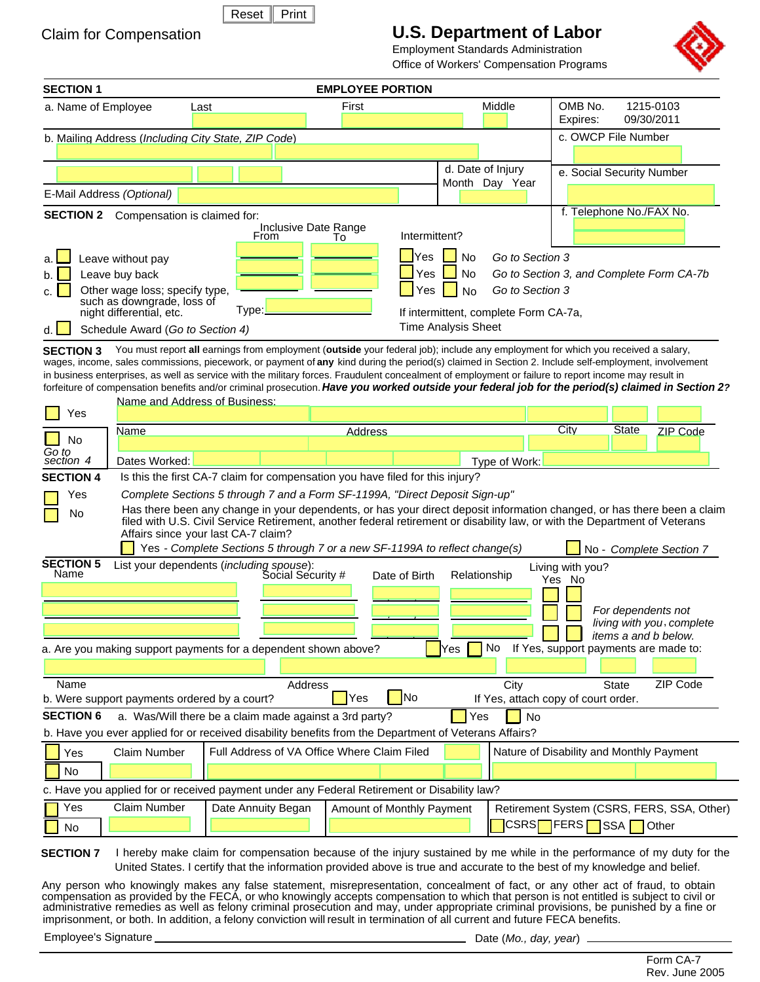| ı |
|---|
|   |

## Claim for Compensation

# **U.S. Department of Labor**

Employment Standards Administration Office of Workers' Compensation Programs



| <b>SECTION 1</b>                                                                                                                                                                                                                                                                                                                                                                                                                                                                                                                                                                                                                                          |                                                                                                                              |                                                                                                                        | <b>EMPLOYEE PORTION</b>   |                          |                                              |                                                                             |                                                                      |                    |                                                     |
|-----------------------------------------------------------------------------------------------------------------------------------------------------------------------------------------------------------------------------------------------------------------------------------------------------------------------------------------------------------------------------------------------------------------------------------------------------------------------------------------------------------------------------------------------------------------------------------------------------------------------------------------------------------|------------------------------------------------------------------------------------------------------------------------------|------------------------------------------------------------------------------------------------------------------------|---------------------------|--------------------------|----------------------------------------------|-----------------------------------------------------------------------------|----------------------------------------------------------------------|--------------------|-----------------------------------------------------|
| a. Name of Employee                                                                                                                                                                                                                                                                                                                                                                                                                                                                                                                                                                                                                                       | Last                                                                                                                         |                                                                                                                        | First                     |                          |                                              | Middle                                                                      | OMB No.<br>Expires:                                                  | 09/30/2011         | 1215-0103                                           |
|                                                                                                                                                                                                                                                                                                                                                                                                                                                                                                                                                                                                                                                           |                                                                                                                              | b. Mailing Address (Including City State, ZIP Code)                                                                    |                           |                          |                                              |                                                                             | c. OWCP File Number                                                  |                    |                                                     |
|                                                                                                                                                                                                                                                                                                                                                                                                                                                                                                                                                                                                                                                           |                                                                                                                              |                                                                                                                        |                           |                          |                                              | d. Date of Injury<br>Month Day Year                                         | e. Social Security Number                                            |                    |                                                     |
| E-Mail Address (Optional)                                                                                                                                                                                                                                                                                                                                                                                                                                                                                                                                                                                                                                 |                                                                                                                              |                                                                                                                        |                           |                          |                                              |                                                                             |                                                                      |                    |                                                     |
| <b>SECTION 2</b>                                                                                                                                                                                                                                                                                                                                                                                                                                                                                                                                                                                                                                          | Compensation is claimed for:                                                                                                 | Inclusive Date Range<br>From                                                                                           | To                        | Intermittent?            |                                              |                                                                             | f. Telephone No./FAX No.                                             |                    |                                                     |
| Leave without pay<br>Leave buy back                                                                                                                                                                                                                                                                                                                                                                                                                                                                                                                                                                                                                       | Other wage loss; specify type,<br>such as downgrade, loss of<br>night differential, etc.<br>Schedule Award (Go to Section 4) | Type:                                                                                                                  |                           | <b>Yes</b><br>Yes<br>Yes | No<br>No<br>No<br><b>Time Analysis Sheet</b> | Go to Section 3<br>Go to Section 3<br>If intermittent, complete Form CA-7a, | Go to Section 3, and Complete Form CA-7b                             |                    |                                                     |
| You must report all earnings from employment (outside your federal job); include any employment for which you received a salary,<br><b>SECTION 3</b><br>wages, income, sales commissions, piecework, or payment of any kind during the period(s) claimed in Section 2. Include self-employment, involvement<br>in business enterprises, as well as service with the military forces. Fraudulent concealment of employment or failure to report income may result in<br>forfeiture of compensation benefits and/or criminal prosecution. Have you worked outside your federal job for the period(s) claimed in Section 2?<br>Name and Address of Business: |                                                                                                                              |                                                                                                                        |                           |                          |                                              |                                                                             |                                                                      |                    |                                                     |
| Yes                                                                                                                                                                                                                                                                                                                                                                                                                                                                                                                                                                                                                                                       | Name                                                                                                                         |                                                                                                                        | <b>Address</b>            |                          |                                              |                                                                             | City                                                                 | <b>State</b>       | <b>ZIP Code</b>                                     |
| No<br>Go to                                                                                                                                                                                                                                                                                                                                                                                                                                                                                                                                                                                                                                               |                                                                                                                              |                                                                                                                        |                           |                          |                                              |                                                                             |                                                                      |                    |                                                     |
| section 4                                                                                                                                                                                                                                                                                                                                                                                                                                                                                                                                                                                                                                                 | Dates Worked:                                                                                                                |                                                                                                                        |                           |                          |                                              | Type of Work:                                                               |                                                                      |                    |                                                     |
| Is this the first CA-7 claim for compensation you have filed for this injury?<br><b>SECTION 4</b><br>Complete Sections 5 through 7 and a Form SF-1199A, "Direct Deposit Sign-up"<br>Yes<br>Has there been any change in your dependents, or has your direct deposit information changed, or has there been a claim<br>No<br>filed with U.S. Civil Service Retirement, another federal retirement or disability law, or with the Department of Veterans<br>Affairs since your last CA-7 claim?<br>Yes - Complete Sections 5 through 7 or a new SF-1199A to reflect change(s)<br>No - Complete Section 7                                                    |                                                                                                                              |                                                                                                                        |                           |                          |                                              |                                                                             |                                                                      |                    |                                                     |
| <b>SECTION 5</b><br>Name                                                                                                                                                                                                                                                                                                                                                                                                                                                                                                                                                                                                                                  |                                                                                                                              | List your dependents (including spouse):<br>Social Security #                                                          |                           | Date of Birth            |                                              | Relationship                                                                | Living with you?<br>Yes No                                           |                    |                                                     |
|                                                                                                                                                                                                                                                                                                                                                                                                                                                                                                                                                                                                                                                           |                                                                                                                              | a. Are you making support payments for a dependent shown above?                                                        |                           |                          | Yes                                          | No                                                                          | $\Box$ items a and b below.<br>If Yes, support payments are made to: | For dependents not | living with you, complete                           |
|                                                                                                                                                                                                                                                                                                                                                                                                                                                                                                                                                                                                                                                           |                                                                                                                              |                                                                                                                        |                           |                          |                                              |                                                                             |                                                                      |                    |                                                     |
| Name<br>b. Were support payments ordered by a court?                                                                                                                                                                                                                                                                                                                                                                                                                                                                                                                                                                                                      |                                                                                                                              | Address                                                                                                                | Yes                       | No                       |                                              | City<br>If Yes, attach copy of court order.                                 |                                                                      | <b>State</b>       | ZIP Code                                            |
| <b>SECTION 6</b>                                                                                                                                                                                                                                                                                                                                                                                                                                                                                                                                                                                                                                          |                                                                                                                              | a. Was/Will there be a claim made against a 3rd party?                                                                 |                           |                          | Yes                                          | No                                                                          |                                                                      |                    |                                                     |
|                                                                                                                                                                                                                                                                                                                                                                                                                                                                                                                                                                                                                                                           |                                                                                                                              | b. Have you ever applied for or received disability benefits from the Department of Veterans Affairs?                  |                           |                          |                                              |                                                                             |                                                                      |                    |                                                     |
| Yes                                                                                                                                                                                                                                                                                                                                                                                                                                                                                                                                                                                                                                                       | <b>Claim Number</b>                                                                                                          | Full Address of VA Office Where Claim Filed                                                                            |                           |                          |                                              |                                                                             | Nature of Disability and Monthly Payment                             |                    |                                                     |
| No                                                                                                                                                                                                                                                                                                                                                                                                                                                                                                                                                                                                                                                        |                                                                                                                              | c. Have you applied for or received payment under any Federal Retirement or Disability law?                            |                           |                          |                                              |                                                                             |                                                                      |                    |                                                     |
| Yes<br>No                                                                                                                                                                                                                                                                                                                                                                                                                                                                                                                                                                                                                                                 | <b>Claim Number</b>                                                                                                          | Date Annuity Began                                                                                                     | Amount of Monthly Payment |                          |                                              |                                                                             | CSRS□FERS□SSA                                                        |                    | Retirement System (CSRS, FERS, SSA, Other)<br>Other |
| <b>SECTION 7</b>                                                                                                                                                                                                                                                                                                                                                                                                                                                                                                                                                                                                                                          |                                                                                                                              | I hereby make claim for compensation because of the injury sustained by me while in the performance of my duty for the |                           |                          |                                              |                                                                             |                                                                      |                    |                                                     |

United States. I certify that the information provided above is true and accurate to the best of my knowledge and belief.

Any person who knowingly makes any false statement, misrepresentation, concealment of fact, or any other act of fraud, to obtain compensation as provided by the FECA, or who knowingly accepts compensation to which that person is not entitled is subject to civil or administrative remedies as well as felony criminal prosecution and may, under appropriate criminal provisions, be punished by a fine or imprisonment, or both. In addition, a felony conviction will result in termination of all current and future FECA benefits.

Employee's Signature **Date (***Mo., day, year***)** 5. Employee's Signature 2. Employee's Signature 2. Employeer 2. Employeer 2. Employeer 2. Employeer 2. Employeer 2. Employeer 2. Employeer 2. Employeer 2. Employeer 2. Employe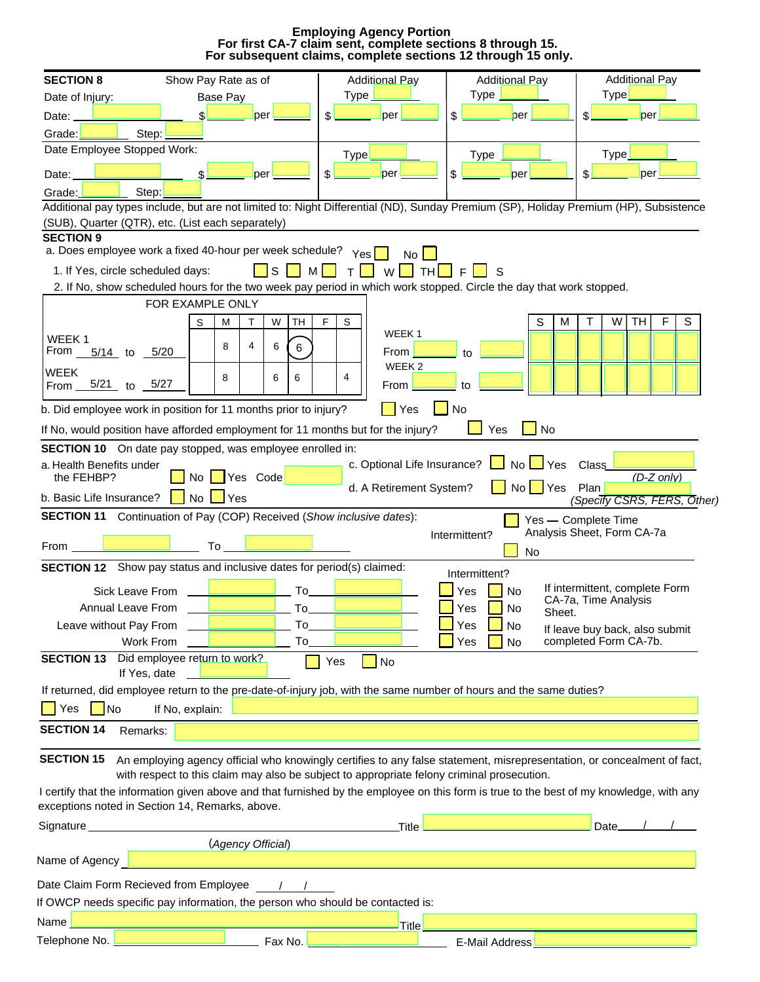**Employing Agency Portion For subsequent claims, complete sections 12 through 15 only. For first CA-7 claim sent, complete sections 8 through 15.**

| <b>SECTION 8</b>                                              | Show Pay Rate as of                                                                                                                                                                                                   | <b>Additional Pay</b>       | <b>Additional Pay</b> | <b>Additional Pay</b>                                  |
|---------------------------------------------------------------|-----------------------------------------------------------------------------------------------------------------------------------------------------------------------------------------------------------------------|-----------------------------|-----------------------|--------------------------------------------------------|
| Date of Injury:                                               | Base Pay                                                                                                                                                                                                              | $Type_$                     | Type                  | <b>Type</b>                                            |
| Date:                                                         | per                                                                                                                                                                                                                   | \$.<br>per                  | \$<br>per             | \$<br>per                                              |
| Grade:<br>Step:                                               |                                                                                                                                                                                                                       |                             |                       |                                                        |
| Date Employee Stopped Work:                                   |                                                                                                                                                                                                                       | Type!                       | Type                  | Type                                                   |
| Date:                                                         | per                                                                                                                                                                                                                   | \$<br>per                   | \$<br>per             | \$<br>per                                              |
| Step:<br>Grade:                                               |                                                                                                                                                                                                                       |                             |                       |                                                        |
|                                                               | Additional pay types include, but are not limited to: Night Differential (ND), Sunday Premium (SP), Holiday Premium (HP), Subsistence                                                                                 |                             |                       |                                                        |
|                                                               | (SUB), Quarter (QTR), etc. (List each separately)                                                                                                                                                                     |                             |                       |                                                        |
| <b>SECTION 9</b>                                              |                                                                                                                                                                                                                       |                             |                       |                                                        |
|                                                               | a. Does employee work a fixed 40-hour per week schedule? $Y_{\text{es}}$                                                                                                                                              |                             |                       |                                                        |
| 1. If Yes, circle scheduled days:                             | ls I<br>M                                                                                                                                                                                                             | W<br><b>TH</b><br>T.        | S                     |                                                        |
|                                                               | 2. If No, show scheduled hours for the two week pay period in which work stopped. Circle the day that work stopped.                                                                                                   |                             |                       |                                                        |
|                                                               | FOR EXAMPLE ONLY                                                                                                                                                                                                      |                             |                       |                                                        |
|                                                               | Т<br>W<br><b>TH</b><br>S<br>M                                                                                                                                                                                         | F<br>S<br>WEEK <sub>1</sub> | S<br>M                | F<br>S<br>т<br>W<br>TH                                 |
| WEEK <sub>1</sub><br>From<br>$\frac{5}{14}$ to $\frac{5}{20}$ | 4<br>6<br>8<br>6                                                                                                                                                                                                      | From                        | to                    |                                                        |
|                                                               |                                                                                                                                                                                                                       | WEEK <sub>2</sub>           |                       |                                                        |
| WEEK<br>$\frac{5}{21}$ to $\frac{5}{27}$<br>From              | 8<br>6<br>6                                                                                                                                                                                                           | 4<br>From                   | to                    |                                                        |
|                                                               | b. Did employee work in position for 11 months prior to injury?                                                                                                                                                       | Yes                         | No                    |                                                        |
|                                                               | If No, would position have afforded employment for 11 months but for the injury?                                                                                                                                      |                             | <b>No</b><br>Yes      |                                                        |
|                                                               | SECTION 10 On date pay stopped, was employee enrolled in:                                                                                                                                                             |                             |                       |                                                        |
| a. Health Benefits under<br>the FEHBP?                        | Yes Code<br>No                                                                                                                                                                                                        | c. Optional Life Insurance? | No<br>Yes             | Class<br>$(D-Z only)$                                  |
| b. Basic Life Insurance?                                      | $No \cup Yes$                                                                                                                                                                                                         | d. A Retirement System?     | No.<br>$\bigcup$ Yes  | Plan<br>(Specify CSRS, FERS, Other)                    |
|                                                               | <b>SECTION 11</b> Continuation of Pay (COP) Received (Show inclusive dates):                                                                                                                                          |                             |                       | Yes - Complete Time                                    |
| From                                                          | To                                                                                                                                                                                                                    |                             | Intermittent?         | Analysis Sheet, Form CA-7a                             |
|                                                               | <b>SECTION 12</b> Show pay status and inclusive dates for period(s) claimed:                                                                                                                                          |                             | <b>No</b>             |                                                        |
|                                                               |                                                                                                                                                                                                                       |                             | Intermittent?         |                                                        |
| Sick Leave From                                               | To                                                                                                                                                                                                                    |                             | Yes<br>No             | If intermittent, complete Form<br>CA-7a, Time Analysis |
| Annual Leave From                                             | To_                                                                                                                                                                                                                   |                             | Yes<br>No<br>Sheet.   |                                                        |
| Leave without Pay From                                        | To_                                                                                                                                                                                                                   |                             | Yes<br>No             | If leave buy back, also submit                         |
| Work From<br><b>SECTION 13</b>                                | $To_$<br>Did employee return to work?                                                                                                                                                                                 |                             | Yes<br><b>No</b>      | completed Form CA-7b.                                  |
| If Yes, date                                                  |                                                                                                                                                                                                                       | $\blacksquare$ No<br>Yes    |                       |                                                        |
|                                                               | If returned, did employee return to the pre-date-of-injury job, with the same number of hours and the same duties?                                                                                                    |                             |                       |                                                        |
| <b>I</b> Yes<br>  No                                          | If No, explain:                                                                                                                                                                                                       |                             |                       |                                                        |
|                                                               |                                                                                                                                                                                                                       |                             |                       |                                                        |
| <b>SECTION 14</b><br>Remarks:                                 |                                                                                                                                                                                                                       |                             |                       |                                                        |
| <b>SECTION 15</b>                                             | An employing agency official who knowingly certifies to any false statement, misrepresentation, or concealment of fact,<br>with respect to this claim may also be subject to appropriate felony criminal prosecution. |                             |                       |                                                        |
|                                                               | I certify that the information given above and that furnished by the employee on this form is true to the best of my knowledge, with any                                                                              |                             |                       |                                                        |
|                                                               | exceptions noted in Section 14, Remarks, above.                                                                                                                                                                       |                             |                       |                                                        |
| Signature_                                                    |                                                                                                                                                                                                                       | _Title                      |                       | Date___                                                |
|                                                               | (Agency Official)                                                                                                                                                                                                     |                             |                       |                                                        |
| Name of Agency                                                |                                                                                                                                                                                                                       |                             |                       |                                                        |
|                                                               |                                                                                                                                                                                                                       |                             |                       |                                                        |
|                                                               | Date Claim Form Recieved from Employee / /                                                                                                                                                                            |                             |                       |                                                        |
|                                                               | If OWCP needs specific pay information, the person who should be contacted is:                                                                                                                                        |                             |                       |                                                        |
| Name                                                          |                                                                                                                                                                                                                       | <b>Title</b>                |                       |                                                        |
|                                                               | Fax No.                                                                                                                                                                                                               |                             | E-Mail Address        |                                                        |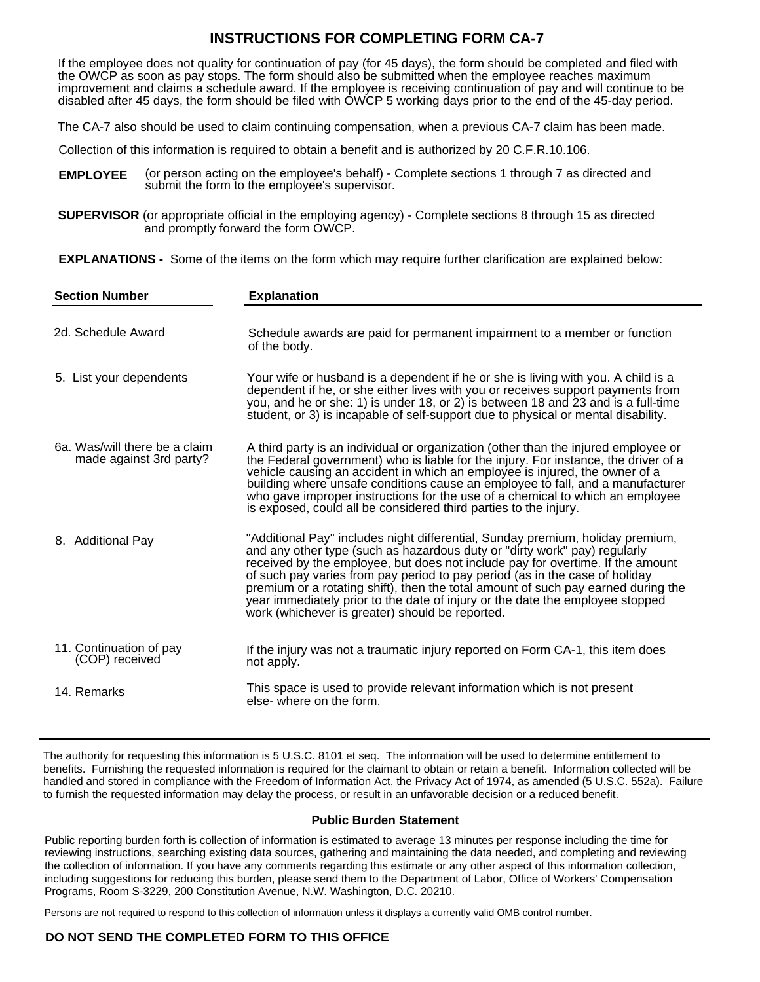## **INSTRUCTIONS FOR COMPLETING FORM CA-7**

If the employee does not quality for continuation of pay (for 45 days), the form should be completed and filed with the OWCP as soon as pay stops. The form should also be submitted when the employee reaches maximum improvement and claims a schedule award. If the employee is receiving continuation of pay and will continue to be disabled after 45 days, the form should be filed with OWCP 5 working days prior to the end of the 45-day period.

The CA-7 also should be used to claim continuing compensation, when a previous CA-7 claim has been made.

Collection of this information is required to obtain a benefit and is authorized by 20 C.F.R.10.106.

(or person acting on the employee's behalf) - Complete sections 1 through 7 as directed and submit the form to the employee's supervisor. **EMPLOYEE**

**SUPERVISOR** (or appropriate official in the employing agency) - Complete sections 8 through 15 as directed and promptly forward the form OWCP.

**EXPLANATIONS -** Some of the items on the form which may require further clarification are explained below:

| <b>Section Number</b>                                    | <b>Explanation</b>                                                                                                                                                                                                                                                                                                                                                                                                                                                                                                                                    |
|----------------------------------------------------------|-------------------------------------------------------------------------------------------------------------------------------------------------------------------------------------------------------------------------------------------------------------------------------------------------------------------------------------------------------------------------------------------------------------------------------------------------------------------------------------------------------------------------------------------------------|
| 2d. Schedule Award                                       | Schedule awards are paid for permanent impairment to a member or function<br>of the body.                                                                                                                                                                                                                                                                                                                                                                                                                                                             |
| 5. List your dependents                                  | Your wife or husband is a dependent if he or she is living with you. A child is a<br>dependent if he, or she either lives with you or receives support payments from<br>you, and he or she: 1) is under 18, or 2) is between 18 and 23 and is a full-time<br>student, or 3) is incapable of self-support due to physical or mental disability.                                                                                                                                                                                                        |
| 6a. Was/will there be a claim<br>made against 3rd party? | A third party is an individual or organization (other than the injured employee or<br>the Federal government) who is liable for the injury. For instance, the driver of a<br>vehicle causing an accident in which an employee is injured, the owner of a<br>building where unsafe conditions cause an employee to fall, and a manufacturer<br>who gave improper instructions for the use of a chemical to which an employee<br>is exposed, could all be considered third parties to the injury.                                                       |
| 8. Additional Pay                                        | "Additional Pay" includes night differential, Sunday premium, holiday premium,<br>and any other type (such as hazardous duty or "dirty work" pay) regularly<br>received by the employee, but does not include pay for overtime. If the amount<br>of such pay varies from pay period to pay period (as in the case of holiday<br>premium or a rotating shift), then the total amount of such pay earned during the<br>year immediately prior to the date of injury or the date the employee stopped<br>work (whichever is greater) should be reported. |
| 11. Continuation of pay<br>(COP) received                | If the injury was not a traumatic injury reported on Form CA-1, this item does<br>not apply.                                                                                                                                                                                                                                                                                                                                                                                                                                                          |
| 14. Remarks                                              | This space is used to provide relevant information which is not present<br>else-where on the form.                                                                                                                                                                                                                                                                                                                                                                                                                                                    |

The authority for requesting this information is 5 U.S.C. 8101 et seq. The information will be used to determine entitlement to benefits. Furnishing the requested information is required for the claimant to obtain or retain a benefit. Information collected will be handled and stored in compliance with the Freedom of Information Act, the Privacy Act of 1974, as amended (5 U.S.C. 552a). Failure to furnish the requested information may delay the process, or result in an unfavorable decision or a reduced benefit.

#### **Public Burden Statement**

Public reporting burden forth is collection of information is estimated to average 13 minutes per response including the time for reviewing instructions, searching existing data sources, gathering and maintaining the data needed, and completing and reviewing the collection of information. If you have any comments regarding this estimate or any other aspect of this information collection, including suggestions for reducing this burden, please send them to the Department of Labor, Office of Workers' Compensation Programs, Room S-3229, 200 Constitution Avenue, N.W. Washington, D.C. 20210.

Persons are not required to respond to this collection of information unless it displays a currently valid OMB control number.

### **DO NOT SEND THE COMPLETED FORM TO THIS OFFICE**